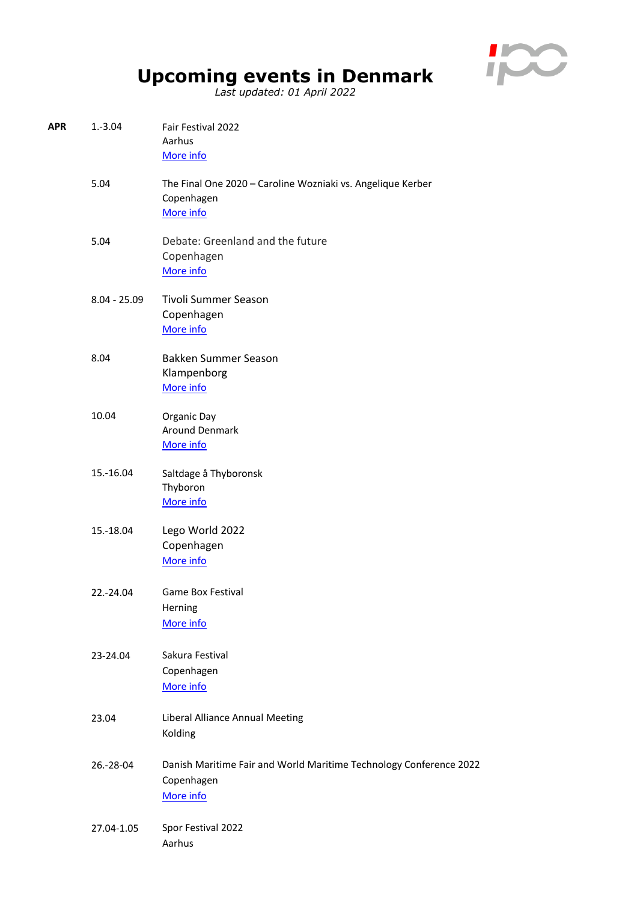

## **Upcoming events in Denmark**

*Last updated: 01 April 2022*

| APR | $1.-3.04$      | Fair Festival 2022<br>Aarhus<br>More info                                                     |
|-----|----------------|-----------------------------------------------------------------------------------------------|
|     | 5.04           | The Final One 2020 - Caroline Wozniaki vs. Angelique Kerber<br>Copenhagen<br>More info        |
|     | 5.04           | Debate: Greenland and the future<br>Copenhagen<br>More info                                   |
|     | $8.04 - 25.09$ | <b>Tivoli Summer Season</b><br>Copenhagen<br>More info                                        |
|     | 8.04           | <b>Bakken Summer Season</b><br>Klampenborg<br>More info                                       |
|     | 10.04          | Organic Day<br><b>Around Denmark</b><br>More info                                             |
|     | 15.-16.04      | Saltdage å Thyboronsk<br>Thyboron<br>More info                                                |
|     | 15.-18.04      | Lego World 2022<br>Copenhagen<br>More info                                                    |
|     | 22.-24.04      | <b>Game Box Festival</b><br>Herning<br>More info                                              |
|     | 23-24.04       | Sakura Festival<br>Copenhagen<br>More info                                                    |
|     | 23.04          | Liberal Alliance Annual Meeting<br>Kolding                                                    |
|     | 26.-28-04      | Danish Maritime Fair and World Maritime Technology Conference 2022<br>Copenhagen<br>More info |
|     | 27.04-1.05     | Spor Festival 2022<br>Aarhus                                                                  |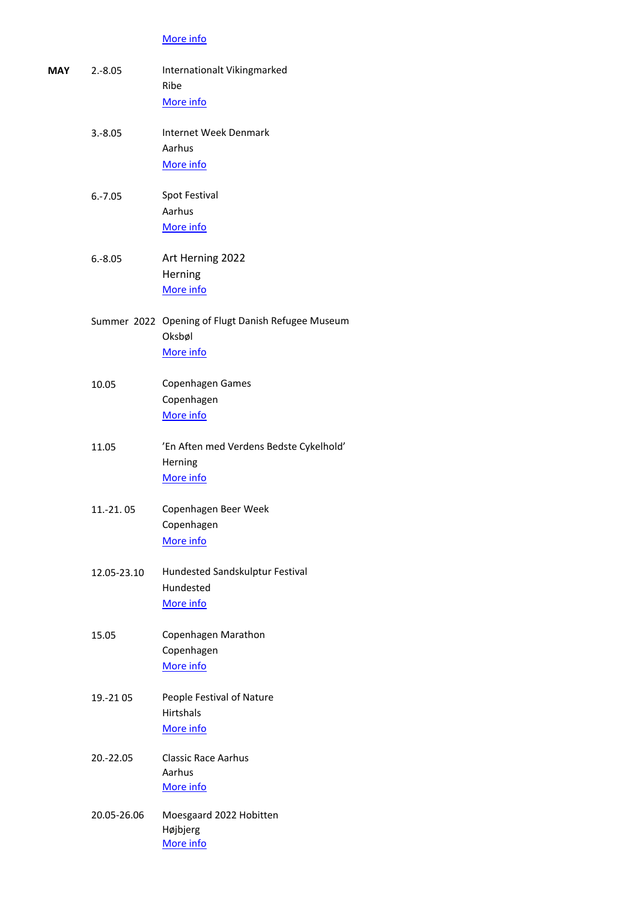## [More info](https://www.sporfestival.dk/)

| <b>MAY</b> | $2.-8.05$   | Internationalt Vikingmarked<br>Ribe                          |
|------------|-------------|--------------------------------------------------------------|
|            |             | More info                                                    |
|            | $3.-8.05$   | <b>Internet Week Denmark</b>                                 |
|            |             | Aarhus<br>More info                                          |
|            | $6.-7.05$   | <b>Spot Festival</b>                                         |
|            |             | Aarhus<br>More info                                          |
|            | $6.-8.05$   | Art Herning 2022                                             |
|            |             | Herning<br>More info                                         |
|            |             | Summer 2022 Opening of Flugt Danish Refugee Museum<br>Oksbøl |
|            |             | More info                                                    |
|            | 10.05       | Copenhagen Games<br>Copenhagen<br>More info                  |
|            | 11.05       | 'En Aften med Verdens Bedste Cykelhold'<br>Herning           |
|            |             | More info                                                    |
|            | 11.-21.05   | Copenhagen Beer Week<br>Copenhagen                           |
|            |             | More info                                                    |
|            | 12.05-23.10 | Hundested Sandskulptur Festival<br>Hundested                 |
|            |             | More info                                                    |
|            | 15.05       | Copenhagen Marathon<br>Copenhagen                            |
|            |             | More info                                                    |
|            | 19.-21 05   | People Festival of Nature<br><b>Hirtshals</b><br>More info   |
|            | 20.-22.05   | <b>Classic Race Aarhus</b><br>Aarhus                         |
|            |             | More info                                                    |
|            | 20.05-26.06 | Moesgaard 2022 Hobitten<br>Højbjerg<br>More info             |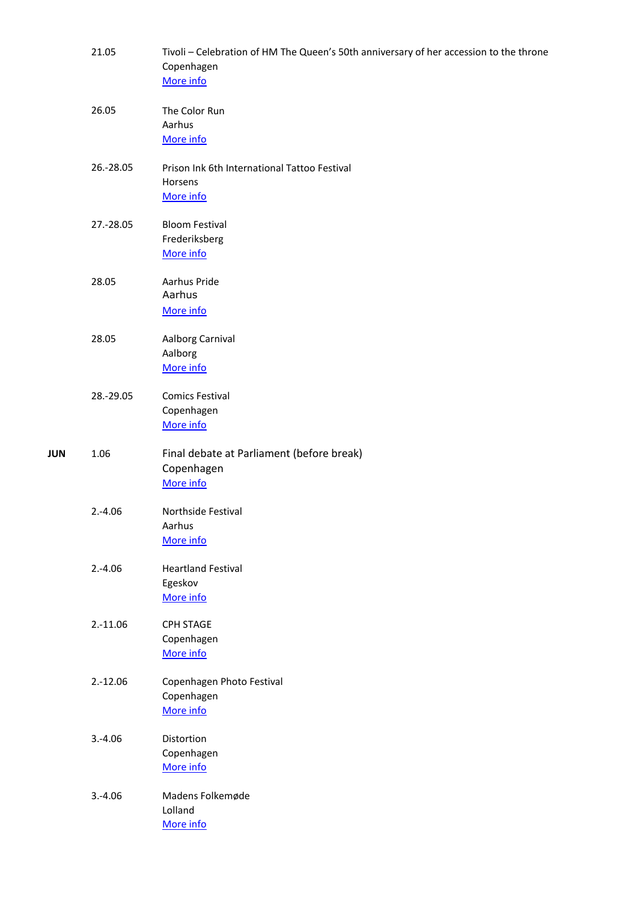|     | 21.05      | Tivoli – Celebration of HM The Queen's 50th anniversary of her accession to the throne<br>Copenhagen<br>More info |
|-----|------------|-------------------------------------------------------------------------------------------------------------------|
|     | 26.05      | The Color Run<br>Aarhus<br>More info                                                                              |
|     | 26.-28.05  | Prison Ink 6th International Tattoo Festival<br>Horsens<br>More info                                              |
|     | 27.-28.05  | <b>Bloom Festival</b><br>Frederiksberg<br>More info                                                               |
|     | 28.05      | Aarhus Pride<br>Aarhus<br>More info                                                                               |
|     | 28.05      | Aalborg Carnival<br>Aalborg<br>More info                                                                          |
|     | 28.-29.05  | <b>Comics Festival</b><br>Copenhagen<br>More info                                                                 |
| JUN | 1.06       | Final debate at Parliament (before break)<br>Copenhagen<br>More info                                              |
|     | $2.-4.06$  | Northside Festival<br>Aarhus<br>More info                                                                         |
|     | $2.-4.06$  | <b>Heartland Festival</b><br>Egeskov<br>More info                                                                 |
|     | $2.-11.06$ | CPH STAGE<br>Copenhagen<br>More info                                                                              |
|     | $2.-12.06$ | Copenhagen Photo Festival<br>Copenhagen<br>More info                                                              |
|     | $3.-4.06$  | Distortion<br>Copenhagen<br>More info                                                                             |
|     | $3.-4.06$  | Madens Folkemøde<br>Lolland<br>More info                                                                          |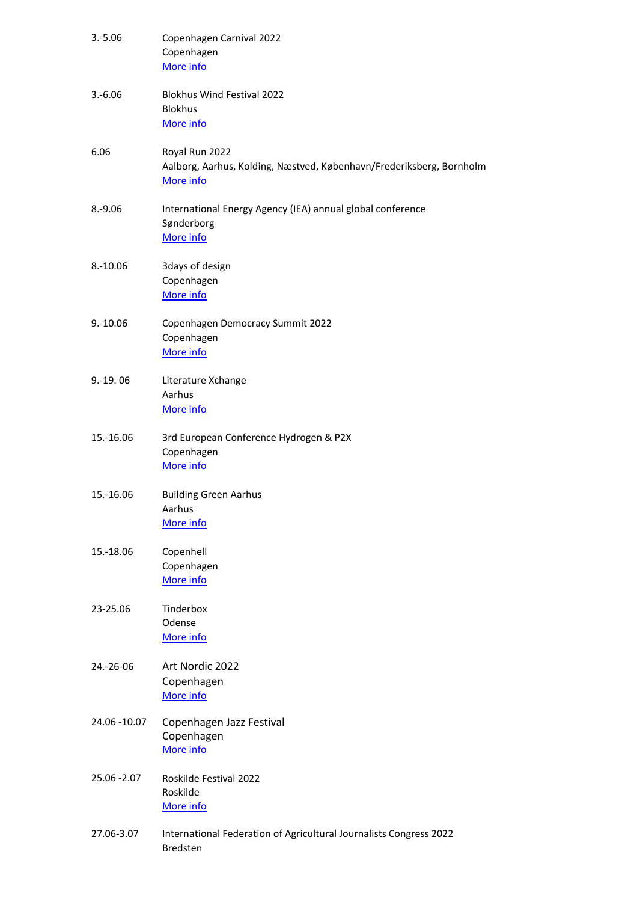| $3.-5.06$    | Copenhagen Carnival 2022<br>Copenhagen<br>More info                                                 |
|--------------|-----------------------------------------------------------------------------------------------------|
| $3.-6.06$    | <b>Blokhus Wind Festival 2022</b><br><b>Blokhus</b><br>More info                                    |
| 6.06         | Royal Run 2022<br>Aalborg, Aarhus, Kolding, Næstved, København/Frederiksberg, Bornholm<br>More info |
| $8.-9.06$    | International Energy Agency (IEA) annual global conference<br>Sønderborg<br>More info               |
| $8.-10.06$   | 3days of design<br>Copenhagen<br>More info                                                          |
| $9.-10.06$   | Copenhagen Democracy Summit 2022<br>Copenhagen<br>More info                                         |
| $9.-19.06$   | Literature Xchange<br>Aarhus<br>More info                                                           |
| 15.-16.06    | 3rd European Conference Hydrogen & P2X<br>Copenhagen<br>More info                                   |
| 15.-16.06    | <b>Building Green Aarhus</b><br>Aarhus<br>More info                                                 |
| 15.-18.06    | Copenhell<br>Copenhagen<br>More info                                                                |
| 23-25.06     | Tinderbox<br>Odense<br>More info                                                                    |
| 24.-26-06    | Art Nordic 2022<br>Copenhagen<br>More info                                                          |
| 24.06 -10.07 | Copenhagen Jazz Festival<br>Copenhagen<br>More info                                                 |
| 25.06 - 2.07 | Roskilde Festival 2022<br>Roskilde<br>More info                                                     |
| 27.06-3.07   | International Federation of Agricultural Journalists Congress 2022<br><b>Bredsten</b>               |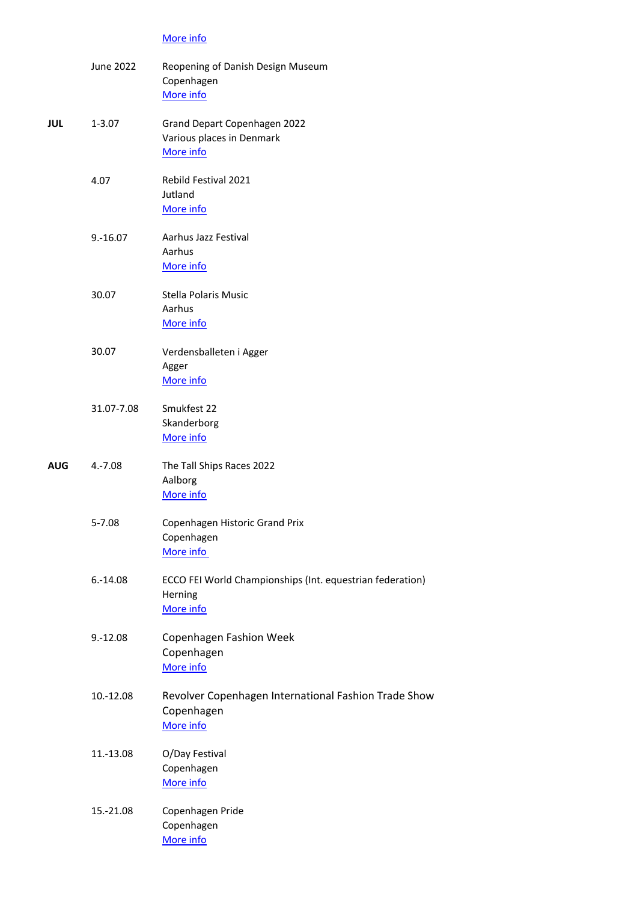## [More info](https://ifaj2020.dk/)

|            | <b>June 2022</b> | Reopening of Danish Design Museum<br>Copenhagen<br>More info                      |
|------------|------------------|-----------------------------------------------------------------------------------|
| <b>JUL</b> | $1 - 3.07$       | Grand Depart Copenhagen 2022<br>Various places in Denmark<br>More info            |
|            | 4.07             | Rebild Festival 2021<br>Jutland<br>More info                                      |
|            | $9.-16.07$       | Aarhus Jazz Festival<br>Aarhus<br>More info                                       |
|            | 30.07            | <b>Stella Polaris Music</b><br>Aarhus<br>More info                                |
|            | 30.07            | Verdensballeten i Agger<br>Agger<br>More info                                     |
|            | 31.07-7.08       | Smukfest 22<br>Skanderborg<br>More info                                           |
| <b>AUG</b> | $4.-7.08$        | The Tall Ships Races 2022<br>Aalborg<br>More info                                 |
|            | $5 - 7.08$       | Copenhagen Historic Grand Prix<br>Copenhagen<br>More info                         |
|            | $6.-14.08$       | ECCO FEI World Championships (Int. equestrian federation)<br>Herning<br>More info |
|            | $9.-12.08$       | Copenhagen Fashion Week<br>Copenhagen<br>More info                                |
|            | 10.-12.08        | Revolver Copenhagen International Fashion Trade Show<br>Copenhagen<br>More info   |
|            | 11.-13.08        | O/Day Festival<br>Copenhagen<br>More info                                         |
|            | 15.-21.08        | Copenhagen Pride<br>Copenhagen<br>More info                                       |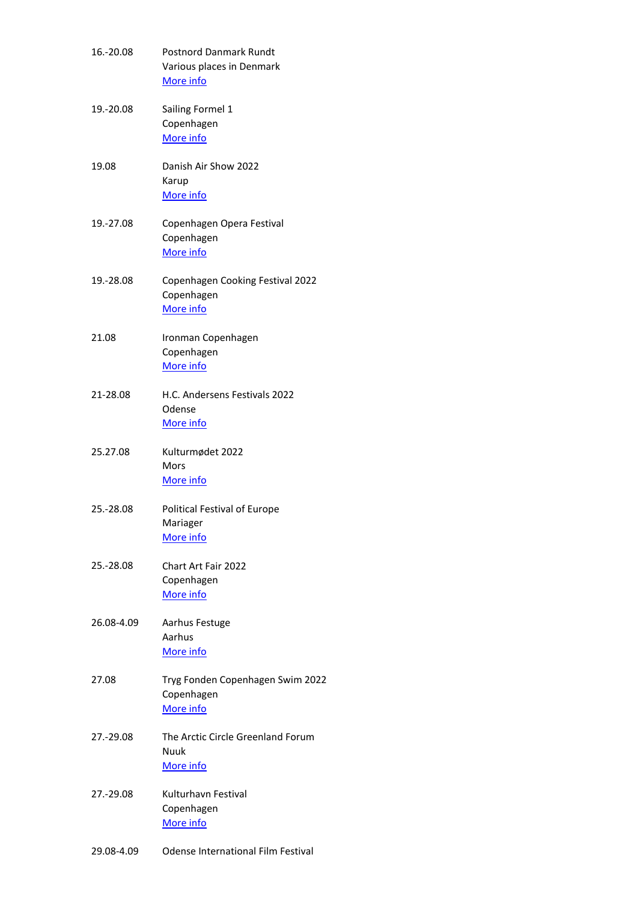| 16.-20.08  | <b>Postnord Danmark Rundt</b><br>Various places in Denmark<br>More info |
|------------|-------------------------------------------------------------------------|
| 19.-20.08  | Sailing Formel 1<br>Copenhagen<br>More info                             |
| 19.08      | Danish Air Show 2022<br>Karup<br>More info                              |
| 19.-27.08  | Copenhagen Opera Festival<br>Copenhagen<br>More info                    |
| 19.-28.08  | Copenhagen Cooking Festival 2022<br>Copenhagen<br>More info             |
| 21.08      | Ironman Copenhagen<br>Copenhagen<br>More info                           |
| 21-28.08   | H.C. Andersens Festivals 2022<br>Odense<br>More info                    |
| 25.27.08   | Kulturmødet 2022<br>Mors<br>More info                                   |
| 25.-28.08  | <b>Political Festival of Europe</b><br>Mariager<br>More info            |
| 25.-28.08  | <b>Chart Art Fair 2022</b><br>Copenhagen<br>More info                   |
| 26.08-4.09 | Aarhus Festuge<br>Aarhus<br>More info                                   |
| 27.08      | Tryg Fonden Copenhagen Swim 2022<br>Copenhagen<br>More info             |
| 27.-29.08  | The Arctic Circle Greenland Forum<br>Nuuk<br>More info                  |
| 27.-29.08  | Kulturhavn Festival<br>Copenhagen<br>More info                          |
| 29.08-4.09 | <b>Odense International Film Festival</b>                               |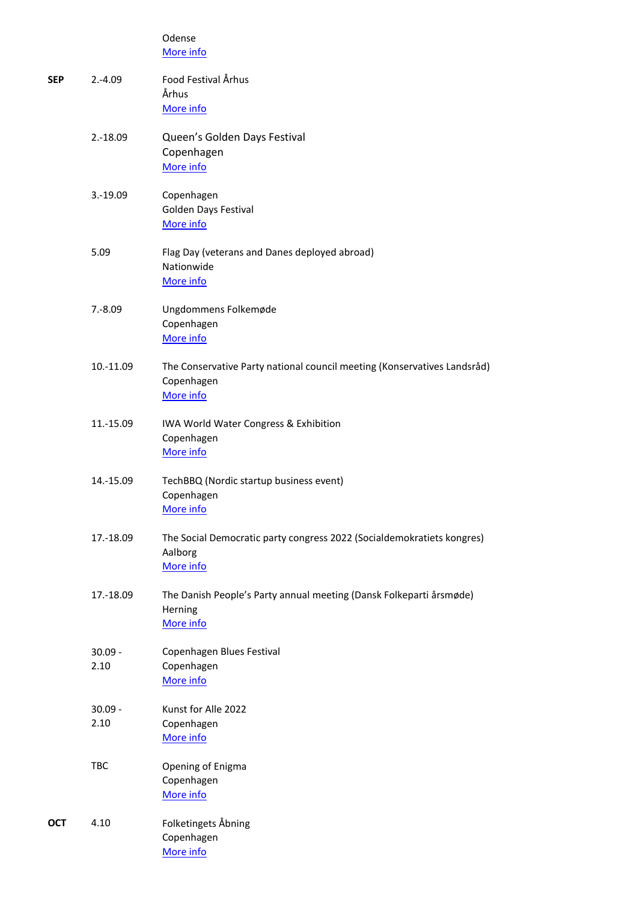|            |                   | Odense<br>More info                                                                                 |
|------------|-------------------|-----------------------------------------------------------------------------------------------------|
| <b>SEP</b> | $2.-4.09$         | Food Festival Århus<br>Århus<br>More info                                                           |
|            | $2.-18.09$        | Queen's Golden Days Festival<br>Copenhagen<br>More info                                             |
|            | $3.-19.09$        | Copenhagen<br>Golden Days Festival<br>More info                                                     |
|            | 5.09              | Flag Day (veterans and Danes deployed abroad)<br>Nationwide<br>More info                            |
|            | $7.-8.09$         | Ungdommens Folkemøde<br>Copenhagen<br>More info                                                     |
|            | 10.-11.09         | The Conservative Party national council meeting (Konservatives Landsråd)<br>Copenhagen<br>More info |
|            | 11.-15.09         | IWA World Water Congress & Exhibition<br>Copenhagen<br>More info                                    |
|            | 14.-15.09         | TechBBQ (Nordic startup business event)<br>Copenhagen<br>More info                                  |
|            | 17.-18.09         | The Social Democratic party congress 2022 (Socialdemokratiets kongres)<br>Aalborg<br>More info      |
|            | 17.-18.09         | The Danish People's Party annual meeting (Dansk Folkeparti årsmøde)<br>Herning<br>More info         |
|            | $30.09 -$<br>2.10 | Copenhagen Blues Festival<br>Copenhagen<br>More info                                                |
|            | $30.09 -$<br>2.10 | Kunst for Alle 2022<br>Copenhagen<br>More info                                                      |
|            | <b>TBC</b>        | Opening of Enigma<br>Copenhagen<br>More info                                                        |
| <b>OCT</b> | 4.10              | Folketingets Åbning<br>Copenhagen<br>More info                                                      |